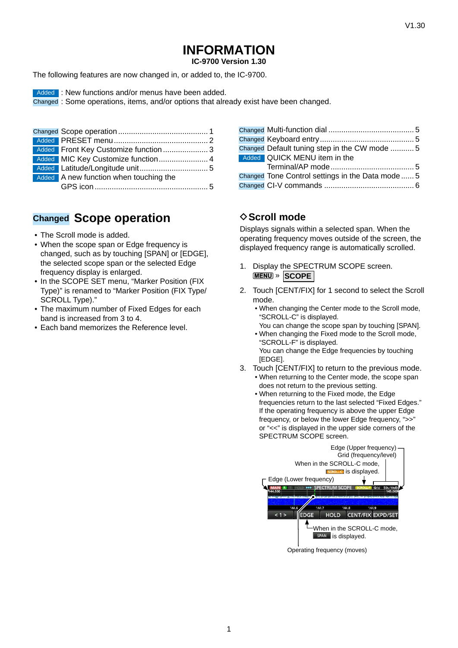**IC-9700 Version 1.30**

The following features are now changed in, or added to, the IC-9700.

Added : New functions and/or menus have been added.

Changed : Some operations, items, and/or options that already exist have been changed.

| Added Front Key Customize function  3  |  |
|----------------------------------------|--|
| Added MIC Key Customize function 4     |  |
|                                        |  |
| Added A new function when touching the |  |
|                                        |  |

### **Changed Scope operation**

- The Scroll mode is added.
- When the scope span or Edge frequency is changed, such as by touching [SPAN] or [EDGE], the selected scope span or the selected Edge frequency display is enlarged.
- In the SCOPE SET menu, "Marker Position (FIX Type)" is renamed to "Marker Position (FIX Type/ SCROLL Tvpe)."
- The maximum number of Fixed Edges for each band is increased from 3 to 4.
- Each band memorizes the Reference level.

| Changed Default tuning step in the CW mode 5      |  |
|---------------------------------------------------|--|
| Added QUICK MENU item in the                      |  |
|                                                   |  |
| Changed Tone Control settings in the Data mode  5 |  |
|                                                   |  |

### **◇ Scroll mode**

Displays signals within a selected span. When the operating frequency moves outside of the screen, the displayed frequency range is automatically scrolled.

- 1. Display the SPECTRUM SCOPE screen. » **SCOPE**
- 2. Touch [CENT/FIX] for 1 second to select the Scroll mode.
	- When changing the Center mode to the Scroll mode, "SCROLL-C" is displayed.
	- You can change the scope span by touching [SPAN]. • When changing the Fixed mode to the Scroll mode, "SCROLL-F" is displayed.

You can change the Edge frequencies by touching [EDGE].

- 3. Touch [CENT/FIX] to return to the previous mode. • When returning to the Center mode, the scope span
	- does not return to the previous setting. • When returning to the Fixed mode, the Edge frequencies return to the last selected "Fixed Edges." If the operating frequency is above the upper Edge frequency, or below the lower Edge frequency, ">>" or "<<" is displayed in the upper side corners of the SPECTRUM SCOPE screen.



Operating frequency (moves)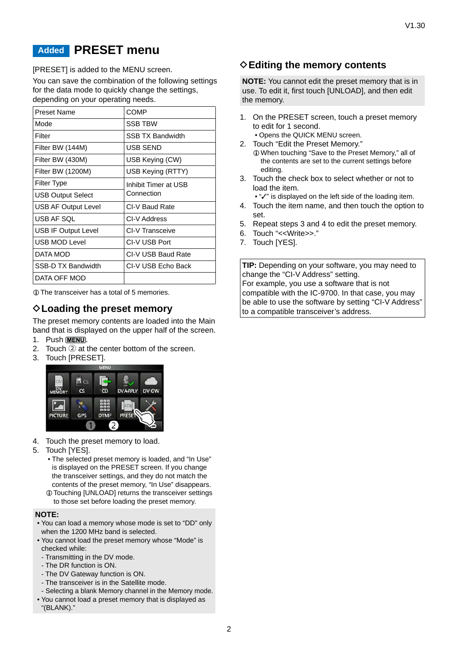### <span id="page-1-0"></span>**Added PRESET menu**

[PRESET] is added to the MENU screen.

You can save the combination of the following settings for the data mode to quickly change the settings, depending on your operating needs.

| <b>Preset Name</b>         | <b>COMP</b>             |
|----------------------------|-------------------------|
| Mode                       | <b>SSB TBW</b>          |
| Filter                     | <b>SSB TX Bandwidth</b> |
| Filter BW (144M)           | USB SEND                |
| Filter BW (430M)           | USB Keying (CW)         |
| Filter BW (1200M)          | USB Keying (RTTY)       |
| <b>Filter Type</b>         | Inhibit Timer at USB    |
| <b>USB Output Select</b>   | Connection              |
| <b>USB AF Output Level</b> | CI-V Baud Rate          |
| USB AF SQL                 | CI-V Address            |
| <b>USB IF Output Level</b> | CI-V Transceive         |
| <b>USB MOD Level</b>       | CI-V USB Port           |
| DATA MOD                   | CI-V USB Baud Rate      |
| SSB-D TX Bandwidth         | CI-V USB Echo Back      |
| DATA OFF MOD               |                         |

LThe transceiver has a total of 5 memories.

### **♦ Loading the preset memory**

The preset memory contents are loaded into the Main band that is displayed on the upper half of the screen.

- 1. Push **MENU**.
- 2. Touch  $(2)$  at the center bottom of the screen.
- 3. Touch [PRESET].



- 4. Touch the preset memory to load.
- 5. Touch [YES].
	- The selected preset memory is loaded, and "In Use" is displayed on the PRESET screen. If you change the transceiver settings, and they do not match the contents of the preset memory, "In Use" disappears.
	- LTouching [UNLOAD] returns the transceiver settings to those set before loading the preset memory.

#### **NOTE:**

- You can load a memory whose mode is set to "DD" only when the 1200 MHz band is selected.
- You cannot load the preset memory whose "Mode" is checked while:
- Transmitting in the DV mode.
- The DR function is ON.
- The DV Gateway function is ON.
- The transceiver is in the Satellite mode.
- Selecting a blank Memory channel in the Memory mode.
- You cannot load a preset memory that is displayed as "(BLANK)."

#### **♦ Editing the memory contents**

**NOTE:** You cannot edit the preset memory that is in use. To edit it, first touch [UNLOAD], and then edit the memory.

- 1. On the PRESET screen, touch a preset memory to edit for 1 second.
- Opens the QUICK MENU screen.
- 2. Touch "Edit the Preset Memory." LWhen touching "Save to the Preset Memory," all of the contents are set to the current settings before editing.
- 3. Touch the check box to select whether or not to load the item.

• "✓" is displayed on the left side of the loading item.

- 4. Touch the item name, and then touch the option to set.
- 5. Repeat steps 3 and 4 to edit the preset memory.
- 6. Touch "<<Write>>."
- 7. Touch [YES].

**TIP:** Depending on your software, you may need to change the "CI-V Address" setting. For example, you use a software that is not compatible with the IC-9700. In that case, you may be able to use the software by setting "CI-V Address" to a compatible transceiver's address.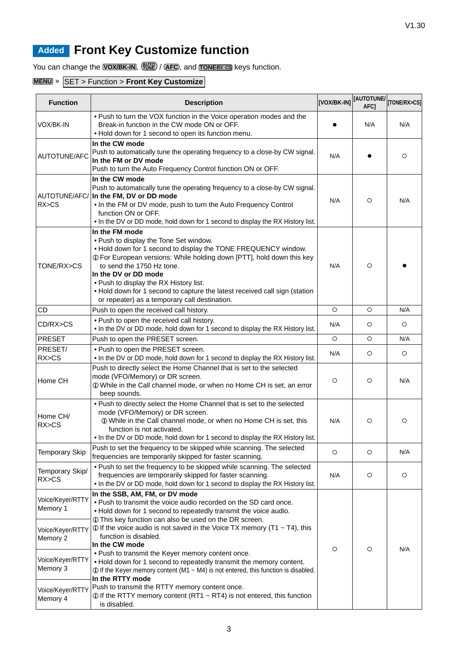## <span id="page-2-0"></span>**Added Front Key Customize function**

You can change the **VOX/BK-IN**,  $\frac{AUC}{V}$  / **AFC**, and **TONE** *RX*-CS keys function.

### **MENU** » SET > Function > **Front Key Customize**

| <b>Function</b>              | <b>Description</b>                                                                                                                                                                                                                                                                                                                                                                                                                | [VOX/BK-IN] | [AUTOTUNE/<br>AFC] | [TONE/RX>CS] |
|------------------------------|-----------------------------------------------------------------------------------------------------------------------------------------------------------------------------------------------------------------------------------------------------------------------------------------------------------------------------------------------------------------------------------------------------------------------------------|-------------|--------------------|--------------|
| VOX/BK-IN                    | . Push to turn the VOX function in the Voice operation modes and the<br>Break-in function in the CW mode ON or OFF.<br>. Hold down for 1 second to open its function menu.                                                                                                                                                                                                                                                        |             | N/A                | N/A          |
| AUTOTUNE/AFC                 | In the CW mode<br>Push to automatically tune the operating frequency to a close-by CW signal.<br>In the FM or DV mode<br>Push to turn the Auto Frequency Control function ON or OFF.                                                                                                                                                                                                                                              | N/A         |                    | O            |
| RX>CS                        | In the CW mode<br>Push to automatically tune the operating frequency to a close-by CW signal.<br>AUTOTUNE/AFC/ In the FM, DV or DD mode<br>. In the FM or DV mode, push to turn the Auto Frequency Control<br>function ON or OFF.<br>. In the DV or DD mode, hold down for 1 second to display the RX History list.                                                                                                               | N/A         | $\circ$            | N/A          |
| TONE/RX>CS                   | In the FM mode<br>. Push to display the Tone Set window.<br>. Hold down for 1 second to display the TONE FREQUENCY window.<br>1 For European versions: While holding down [PTT], hold down this key<br>to send the 1750 Hz tone.<br>In the DV or DD mode<br>. Push to display the RX History list.<br>. Hold down for 1 second to capture the latest received call sign (station<br>or repeater) as a temporary call destination. | N/A         | O                  |              |
| CD                           | Push to open the received call history.                                                                                                                                                                                                                                                                                                                                                                                           | $\circ$     | $\circ$            | N/A          |
| CD/RX>CS                     | . Push to open the received call history.<br>. In the DV or DD mode, hold down for 1 second to display the RX History list.                                                                                                                                                                                                                                                                                                       | N/A         | $\circ$            | O            |
| <b>PRESET</b>                | Push to open the PRESET screen.                                                                                                                                                                                                                                                                                                                                                                                                   | $\circ$     | O                  | N/A          |
| PRESET/<br>RX>CS             | . Push to open the PRESET screen.<br>. In the DV or DD mode, hold down for 1 second to display the RX History list.                                                                                                                                                                                                                                                                                                               | N/A         | $\circ$            | $\circ$      |
| Home CH                      | Push to directly select the Home Channel that is set to the selected<br>mode (VFO/Memory) or DR screen.<br>10 While in the Call channel mode, or when no Home CH is set, an error<br>beep sounds.                                                                                                                                                                                                                                 | O           | $\circ$            | N/A          |
| Home CH/<br>RX>CS            | . Push to directly select the Home Channel that is set to the selected<br>mode (VFO/Memory) or DR screen.<br>10 While in the Call channel mode, or when no Home CH is set, this<br>function is not activated.<br>. In the DV or DD mode, hold down for 1 second to display the RX History list.                                                                                                                                   | N/A         | $\circ$            | O            |
| <b>Temporary Skip</b>        | Push to set the frequency to be skipped while scanning. The selected<br>frequencies are temporarily skipped for faster scanning.                                                                                                                                                                                                                                                                                                  | $\circ$     | O                  | N/A          |
| Temporary Skip/<br>RX>CS     | . Push to set the frequency to be skipped while scanning. The selected<br>frequencies are temporarily skipped for faster scanning.<br>. In the DV or DD mode, hold down for 1 second to display the RX History list.                                                                                                                                                                                                              | N/A         | O                  | O            |
| Voice/Keyer/RTTY<br>Memory 1 | In the SSB, AM, FM, or DV mode<br>. Push to transmit the voice audio recorded on the SD card once.<br>. Hold down for 1 second to repeatedly transmit the voice audio.<br>1 This key function can also be used on the DR screen.                                                                                                                                                                                                  |             |                    |              |
| Voice/Keyer/RTTY<br>Memory 2 | $\odot$ If the voice audio is not saved in the Voice TX memory (T1 ~ T4), this<br>function is disabled.<br>In the CW mode                                                                                                                                                                                                                                                                                                         | O           | O                  | N/A          |
| Voice/Keyer/RTTY<br>Memory 3 | . Push to transmit the Keyer memory content once.<br>. Hold down for 1 second to repeatedly transmit the memory content.<br>$\odot$ If the Keyer memory content (M1 ~ M4) is not entered, this function is disabled.<br>In the RTTY mode                                                                                                                                                                                          |             |                    |              |
| Voice/Keyer/RTTY<br>Memory 4 | Push to transmit the RTTY memory content once.<br>$\odot$ If the RTTY memory content (RT1 ~ RT4) is not entered, this function<br>is disabled.                                                                                                                                                                                                                                                                                    |             |                    |              |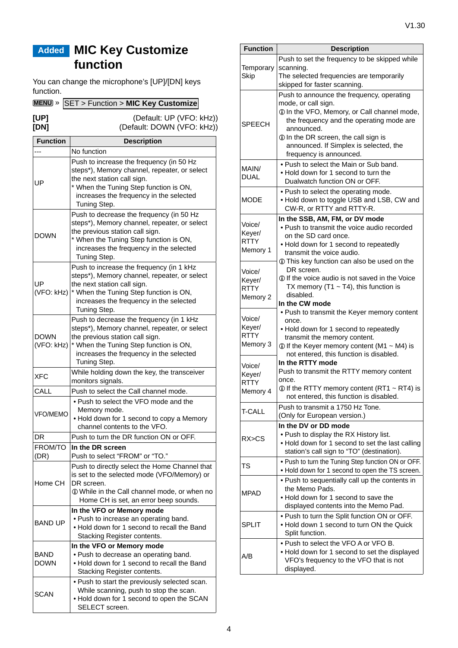## <span id="page-3-0"></span>**Added MIC Key Customize function**

You can change the microphone's [UP]/[DN] keys function.

| MENU » SET > Function > MIC Key Customize |  |
|-------------------------------------------|--|
|-------------------------------------------|--|

**[UP]** (Default: UP (VFO: kHz)) **[DN]** (Default: DOWN (VFO: kHz))

| <b>Function</b>           | <b>Description</b>                                                                                                                                                                                                               |  |  |
|---------------------------|----------------------------------------------------------------------------------------------------------------------------------------------------------------------------------------------------------------------------------|--|--|
|                           | No function                                                                                                                                                                                                                      |  |  |
| UP                        | Push to increase the frequency (in 50 Hz<br>steps*), Memory channel, repeater, or select<br>the next station call sign.<br>* When the Tuning Step function is ON,<br>increases the frequency in the selected<br>Tuning Step.     |  |  |
| <b>DOWN</b>               | Push to decrease the frequency (in 50 Hz<br>steps*), Memory channel, repeater, or select<br>the previous station call sign.<br>* When the Tuning Step function is ON,<br>increases the frequency in the selected<br>Tuning Step. |  |  |
| UP<br>(VFO: kHz)          | Push to increase the frequency (in 1 kHz<br>steps*), Memory channel, repeater, or select<br>the next station call sign.<br>* When the Tuning Step function is ON,<br>increases the frequency in the selected<br>Tuning Step.     |  |  |
| <b>DOWN</b><br>(VFO: kHz) | Push to decrease the frequency (in 1 kHz<br>steps*), Memory channel, repeater, or select<br>the previous station call sign.<br>* When the Tuning Step function is ON,<br>increases the frequency in the selected<br>Tuning Step. |  |  |
| <b>XFC</b>                | While holding down the key, the transceiver<br>monitors signals.                                                                                                                                                                 |  |  |
| CALL                      | Push to select the Call channel mode.                                                                                                                                                                                            |  |  |
| VFO/MEMO                  | . Push to select the VFO mode and the<br>Memory mode.<br>. Hold down for 1 second to copy a Memory<br>channel contents to the VFO.                                                                                               |  |  |
| DR                        | Push to turn the DR function ON or OFF.                                                                                                                                                                                          |  |  |
| FROM/TO<br>(DR)           | In the DR screen<br>Push to select "FROM" or "TO."                                                                                                                                                                               |  |  |
| Home CH                   | Push to directly select the Home Channel that<br>is set to the selected mode (VFO/Memory) or<br>DR screen.<br>10 While in the Call channel mode, or when no<br>Home CH is set, an error beep sounds.                             |  |  |
| <b>BAND UP</b>            | In the VFO or Memory mode<br>• Push to increase an operating band.<br>. Hold down for 1 second to recall the Band<br>Stacking Register contents.                                                                                 |  |  |
| BAND<br><b>DOWN</b>       | In the VFO or Memory mode<br>. Push to decrease an operating band.<br>. Hold down for 1 second to recall the Band<br>Stacking Register contents.                                                                                 |  |  |
| <b>SCAN</b>               | . Push to start the previously selected scan.<br>While scanning, push to stop the scan.<br>. Hold down for 1 second to open the SCAN<br>SELECT screen.                                                                           |  |  |

| <b>Function</b>       | <b>Description</b>                                                                      |
|-----------------------|-----------------------------------------------------------------------------------------|
|                       | Push to set the frequency to be skipped while                                           |
| Temporary             | scanning.                                                                               |
| Skip                  | The selected frequencies are temporarily                                                |
|                       | skipped for faster scanning.                                                            |
|                       | Push to announce the frequency, operating                                               |
|                       | mode, or call sign.<br>1 In the VFO, Memory, or Call channel mode,                      |
|                       | the frequency and the operating mode are                                                |
| <b>SPEECH</b>         | announced.                                                                              |
|                       | 10 In the DR screen, the call sign is                                                   |
|                       | announced. If Simplex is selected, the                                                  |
|                       | frequency is announced.                                                                 |
| MAIN/                 | • Push to select the Main or Sub band.                                                  |
| <b>DUAL</b>           | . Hold down for 1 second to turn the                                                    |
|                       | Dualwatch function ON or OFF.                                                           |
|                       | . Push to select the operating mode.                                                    |
| <b>MODE</b>           | . Hold down to toggle USB and LSB, CW and<br>CW-R, or RTTY and RTTY-R.                  |
|                       | In the SSB, AM, FM, or DV mode                                                          |
| Voice/                | • Push to transmit the voice audio recorded                                             |
| Keyer/                | on the SD card once.                                                                    |
| <b>RTTY</b>           | . Hold down for 1 second to repeatedly                                                  |
| Memory 1              | transmit the voice audio.                                                               |
|                       | 1 This key function can also be used on the                                             |
| Voice/                | DR screen.<br>10 If the voice audio is not saved in the Voice                           |
| Keyer/<br><b>RTTY</b> | TX memory (T1 $\sim$ T4), this function is                                              |
| Memory 2              | disabled.                                                                               |
|                       | In the CW mode                                                                          |
|                       | . Push to transmit the Keyer memory content                                             |
| Voice/<br>Keyer/      | once.                                                                                   |
| <b>RTTY</b>           | . Hold down for 1 second to repeatedly<br>transmit the memory content.                  |
| Memory 3              | $\odot$ If the Keyer memory content (M1 ~ M4) is                                        |
|                       | not entered, this function is disabled.                                                 |
| Voice/                | In the RTTY mode                                                                        |
| Keyer/                | Push to transmit the RTTY memory content                                                |
| <b>RTTY</b>           | once.                                                                                   |
| Memory 4              | 10 If the RTTY memory content (RT1 ~ RT4) is<br>not entered, this function is disabled. |
|                       | Push to transmit a 1750 Hz Tone.                                                        |
| <b>T-CALL</b>         | (Only for European version.)                                                            |
|                       | In the DV or DD mode                                                                    |
|                       | . Push to display the RX History list.                                                  |
| RX > CS               | . Hold down for 1 second to set the last calling                                        |
|                       | station's call sign to "TO" (destination).                                              |
| TS                    | . Push to turn the Tuning Step function ON or OFF.                                      |
|                       | . Hold down for 1 second to open the TS screen.                                         |
|                       | . Push to sequentially call up the contents in                                          |
| <b>MPAD</b>           | the Memo Pads.                                                                          |
|                       | . Hold down for 1 second to save the<br>displayed contents into the Memo Pad.           |
|                       | . Push to turn the Split function ON or OFF.                                            |
| <b>SPLIT</b>          | . Hold down 1 second to turn ON the Quick                                               |
|                       | Split function.                                                                         |
|                       | • Push to select the VFO A or VFO B.                                                    |
| A/B                   | . Hold down for 1 second to set the displayed                                           |
|                       | VFO's frequency to the VFO that is not                                                  |
|                       | displayed.                                                                              |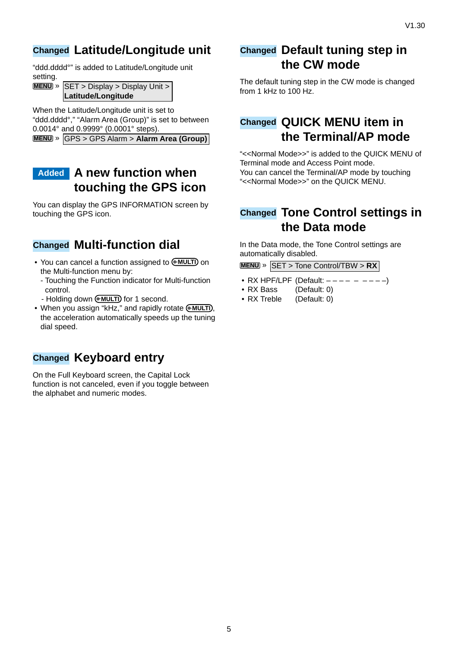### <span id="page-4-0"></span>**Changed Latitude/Longitude unit**

"ddd.dddd°" is added to Latitude/Longitude unit setting.

**MENU** » **SET** > Display > Display Unit > **Latitude/Longitude**

When the Latitude/Longitude unit is set to "ddd.dddd°," "Alarm Area (Group)" is set to between 0.0014° and 0.9999° (0.0001° steps). **MENU** » GPS > GPS Alarm > **Alarm Area (Group)**

### **Added A new function when touching the GPS icon**

You can display the GPS INFORMATION screen by touching the GPS icon.

### **Changed Multi-function dial**

- You can cancel a function assigned to **MULTI** on the Multi-function menu by:
	- Touching the Function indicator for Multi-function control.
	- Holding down **MULTI** for 1 second.
- When you assign "kHz," and rapidly rotate (MULTI), the acceleration automatically speeds up the tuning dial speed.

### **Changed Keyboard entry**

On the Full Keyboard screen, the Capital Lock function is not canceled, even if you toggle between the alphabet and numeric modes.

### **Changed Default tuning step in the CW mode**

The default tuning step in the CW mode is changed from 1 kHz to 100 Hz.

### **Changed QUICK MENU item in the Terminal/AP mode**

"<<Normal Mode>>" is added to the QUICK MENU of Terminal mode and Access Point mode. You can cancel the Terminal/AP mode by touching "<<Normal Mode>>" on the QUICK MENU.

### **Changed Tone Control settings in the Data mode**

In the Data mode, the Tone Control settings are automatically disabled.

**MENU** » SET > Tone Control/TBW > **RX**

- RX HPF/LPF (Default:  $--- - - -$ )
- RX Bass (Default: 0)
- RX Treble (Default: 0)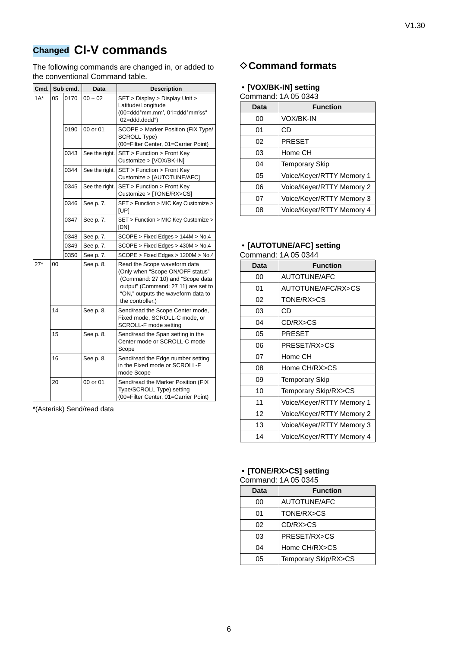## <span id="page-5-0"></span>**Changed CI-V commands**

The following commands are changed in, or added to the conventional Command table.

| Cmd.   |    | Sub cmd. | Data           | <b>Description</b>                                                                                                                                                                                    |
|--------|----|----------|----------------|-------------------------------------------------------------------------------------------------------------------------------------------------------------------------------------------------------|
| $1A^*$ | 05 | 0170     | $00 - 02$      | SET > Display > Display Unit ><br>Latitude/Longitude<br>(00=ddd°mm.mm', 01=ddd°mm'ss"<br>02=ddd.dddd°)                                                                                                |
|        |    | 0190     | 00 or 01       | SCOPE > Marker Position (FIX Type/<br><b>SCROLL Type)</b><br>(00=Filter Center, 01=Carrier Point)                                                                                                     |
|        |    | 0343     | See the right. | SET > Function > Front Key<br>Customize > [VOX/BK-IN]                                                                                                                                                 |
|        |    | 0344     | See the right. | SET > Function > Front Key<br>Customize > [AUTOTUNE/AFC]                                                                                                                                              |
|        |    | 0345     | See the right. | SET > Function > Front Key<br>Customize > [TONE/RX>CS]                                                                                                                                                |
|        |    | 0346     | See p. 7.      | SET > Function > MIC Key Customize ><br>[UP]                                                                                                                                                          |
|        |    | 0347     | See p. 7.      | SET > Function > MIC Key Customize ><br>[DN]                                                                                                                                                          |
|        |    | 0348     | See p. 7.      | SCOPE > Fixed Edges > 144M > No.4                                                                                                                                                                     |
|        |    | 0349     | See p. 7.      | SCOPE > Fixed Edges > 430M > No.4                                                                                                                                                                     |
|        |    | 0350     | See p. 7.      | SCOPE > Fixed Edges > 1200M > No.4                                                                                                                                                                    |
| $27*$  | 00 |          | See p. 8.      | Read the Scope waveform data<br>(Only when "Scope ON/OFF status"<br>(Command: 27 10) and "Scope data<br>output" (Command: 27 11) are set to<br>"ON," outputs the waveform data to<br>the controller.) |
|        | 14 |          | See p. 8.      | Send/read the Scope Center mode,<br>Fixed mode, SCROLL-C mode, or<br>SCROLL-F mode setting                                                                                                            |
|        | 15 |          | See p. 8.      | Send/read the Span setting in the<br>Center mode or SCROLL-C mode<br>Scope                                                                                                                            |
|        | 16 |          | See p. 8.      | Send/read the Edge number setting<br>in the Fixed mode or SCROLL-F<br>mode Scope                                                                                                                      |
|        | 20 |          | 00 or 01       | Send/read the Marker Position (FIX<br>Type/SCROLL Type) setting<br>(00=Filter Center, 01=Carrier Point)                                                                                               |

\*(Asterisk) Send/read data

### **♦ Command formats**

| • [VOX/BK-IN] setting |  |  |  |  |
|-----------------------|--|--|--|--|
|                       |  |  |  |  |

| Data | <b>Function</b>           |
|------|---------------------------|
| 00   | <b>VOX/BK-IN</b>          |
| 01   | CD                        |
| 02   | <b>PRESET</b>             |
| 03   | Home CH                   |
| 04   | <b>Temporary Skip</b>     |
| 05   | Voice/Keyer/RTTY Memory 1 |
| 06   | Voice/Keyer/RTTY Memory 2 |
| 07   | Voice/Keyer/RTTY Memory 3 |
| 08   | Voice/Keyer/RTTY Memory 4 |

| • [AUTOTUNE/AFC] setting |  |
|--------------------------|--|
| Command: 1A 05 0344      |  |

| Data | <b>Function</b>           |
|------|---------------------------|
| 00   | <b>AUTOTUNE/AFC</b>       |
| 01   | AUTOTUNE/AFC/RX>CS        |
| 02   | TONE/RX>CS                |
| 03   | CD                        |
| 04   | CD/RX>CS                  |
| 05   | PRESET                    |
| 06   | PRESET/RX>CS              |
| 07   | Home CH                   |
| 08   | Home CH/RX>CS             |
| 09   | Temporary Skip            |
| 10   | Temporary Skip/RX>CS      |
| 11   | Voice/Keyer/RTTY Memory 1 |
| 12   | Voice/Keyer/RTTY Memory 2 |
| 13   | Voice/Keyer/RTTY Memory 3 |
| 14   | Voice/Keyer/RTTY Memory 4 |

### • **[TONE/RX>CS] setting**

| Data | <b>Function</b>      |
|------|----------------------|
| 00   | <b>AUTOTUNE/AFC</b>  |
| 01   | TONE/RX>CS           |
| 02   | CD/RX>CS             |
| 03   | PRESET/RX>CS         |
| 04   | Home CH/RX>CS        |
| 05   | Temporary Skip/RX>CS |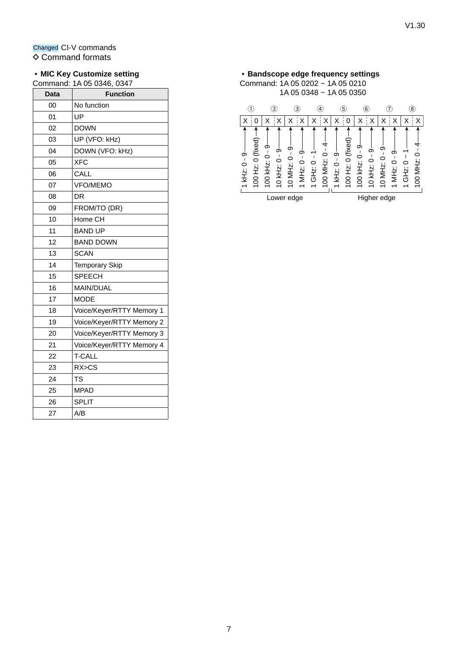#### • **MIC Key Customize setting**

Command: 1A 05 0346, 0347

| <b>Data</b> | <b>Function</b>           |
|-------------|---------------------------|
| 00          | No function               |
| 01          | UP                        |
| 02          | <b>DOWN</b>               |
| 03          | UP (VFO: kHz)             |
| 04          | DOWN (VFO: kHz)           |
| 05          | <b>XFC</b>                |
| 06          | CALL                      |
| 07          | <b>VFO/MEMO</b>           |
| 08          | DR                        |
| 09          | FROM/TO (DR)              |
| 10          | Home CH                   |
| 11          | <b>BAND UP</b>            |
| 12          | <b>BAND DOWN</b>          |
| 13          | <b>SCAN</b>               |
| 14          | <b>Temporary Skip</b>     |
| 15          | <b>SPEECH</b>             |
| 16          | <b>MAIN/DUAL</b>          |
| 17          | <b>MODE</b>               |
| 18          | Voice/Keyer/RTTY Memory 1 |
| 19          | Voice/Keyer/RTTY Memory 2 |
| 20          | Voice/Keyer/RTTY Memory 3 |
| 21          | Voice/Keyer/RTTY Memory 4 |
| 22          | <b>T-CALL</b>             |
| 23          | RX>CS                     |
| 24          | TS                        |
| 25          | <b>MPAD</b>               |
| 26          | <b>SPLIT</b>              |
| 27          | A/B                       |

#### • **Bandscope edge frequency settings** Command: 1A 05 0202 ~ 1A 05 0210 1A 05 0348 ~ 1A 05 0350  $\odot$  $(7)$  (8) 2 3 4 5 6  $X$   $\mid$  0  $\mid$  X  $\mid$  X  $\mid$  X  $\mid$  X  $\mid$  X  $\mid$  X  $\mid$  X  $\mid$  X  $\mid$  X  $\mid$  X  $\mid$  X  $\mid$  X  $\mid$  X  $\mid$  X  $\mid$  X  $\mid$  X  $\mid$  X  $\mid$  X  $\mid$  X  $\mid$  X  $\mid$  X  $\mid$  X  $\mid$  X  $\mid$  X  $\mid$  X  $\mid$  X  $\mid$  X  $\mid$  X  $\mid$  X  $\mid$  X 100 Hz: 0 (fixed)  $\rightarrow$ ↑ 100 Hz: 0 (fixed) 100 Hz: 0 (fixed) 100 Hz: 0 (fixed)  $100$  MHz: 0  $-4$ 100 MHz:  $0 - 4$  $100$  kHz:  $0 - 9$ 10 kHz: 0 - 9 --<br>10 MHz: 0 - 9 -- $100$  kHz:  $0 - 9$ 10 kHz: 0 ~ 9 —<br>10 MHz: 0 ~ 9 — 100 MHz: 0 ~ 4 100 MHz: 0 ~ 4 100 kHz: 0 ~ 9 100 kHz: 0 ~ 9  $\lceil 1$  kHz:  $0 - 9$  $1$  MHz:  $0 - 9 -$ 1 GHz:  $0 - 1$ 10 MHz: 0 ~ 9 10 MHz: 0 ~ 9 10 kHz: 0 ~ 9  $1$  MHz:  $0 - 9$  $1$  GHz:  $0 - 1$  $1$  kHz:  $0 - 9$ 10 kHz: 0 ~ 9 1 MHz: 0 ~ 9 1 MHz: 0 ~ 9 1 GHz: 0 ~ 1 1 GHz: 0 ~ 1 1 kHz: 0 ~ 9 1 kHz: 0 ~ 9

Lower edge **Higher edge**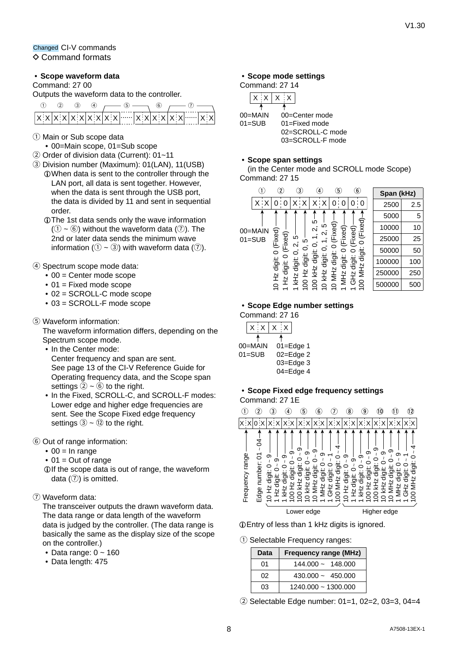Changed CI-V commands  $\Diamond$  Command formats

#### <span id="page-7-0"></span>• **Scope waveform data**

#### Command: 27 00

Outputs the waveform data to the controller.

|  |  |  |  | (6)                                     |  |  |
|--|--|--|--|-----------------------------------------|--|--|
|  |  |  |  | $x[x x x x x x x x x x x x x x x x x x$ |  |  |

- 1 Main or Sub scope data
- 00=Main scope, 01=Sub scope
- 2 Order of division data (Current): 01~11
- 3 Division number (Maximum): 01(LAN), 11(USB) LWhen data is sent to the controller through the LAN port, all data is sent together. However, when the data is sent through the USB port, the data is divided by 11 and sent in sequential order.
	- LThe 1st data sends only the wave information  $(1) \sim (6)$  without the waveform data  $(7)$ . The 2nd or later data sends the minimum wave information ( $(1 - 3)$ ) with waveform data ( $(7)$ ).

#### 4 Spectrum scope mode data:

- $\bullet$  00 = Center mode scope
- $\bullet$  01 = Fixed mode scope
- 02 = SCROLL-C mode scope
- 03 = SCROLL-F mode scope
- 5 Waveform information:

The waveform information differs, depending on the Spectrum scope mode.

- In the Center mode: Center frequency and span are sent. See page 13 of the CI-V Reference Guide for Operating frequency data, and the Scope span settings  $(2) \sim 6$  to the right.
- In the Fixed, SCROLL-C, and SCROLL-F modes: Lower edge and higher edge frequencies are sent. See the Scope Fixed edge frequency settings  $(3) \sim (12)$  to the right.
- 6 Out of range information:
	- $\bullet$  00 = In range
	- $\bullet$  01 = Out of range
	- LIf the scope data is out of range, the waveform data  $(③)$  is omitted.
- 7 Waveform data:

The transceiver outputs the drawn waveform data. The data range or data length of the waveform data is judged by the controller. (The data range is basically the same as the display size of the scope on the controller.)

- Data range:  $0 \sim 160$
- Data length: 475

#### <span id="page-7-1"></span>• **Scope mode settings**

#### Command: 27 14

| 02=SCROLL-C mode |
|------------------|
| 03=SCROLL-F mode |
|                  |

#### • **Scope span settings**

(in the Center mode and SCROLL mode Scope) Command: 27 15

|            |         | $\mathbf{2}$          | 3)                     | 4                | 5                      | $\epsilon$              | Span (kHz) |     |
|------------|---------|-----------------------|------------------------|------------------|------------------------|-------------------------|------------|-----|
|            |         | 0                     | ŢΧ                     | x⊹x              | 0<br>0                 | 0<br>0                  | 2500       | 2.5 |
|            |         |                       |                        |                  |                        |                         | 5000       | 5   |
|            | 00=MAIN |                       |                        | ю<br>ഥ<br>Ν      | Fixed)<br>ixed)-       | (Fixed)<br>ixed)        | 10000      | 10  |
| $01 = SUB$ |         | (Fixed)<br>(Fixed)    | 5<br>LO                | Ν                |                        | щ<br>◯                  | 25000      | 25  |
|            |         |                       | $\mathbf{\Omega}$<br>0 | 0<br>0           |                        | digit                   | 50000      | 50  |
|            |         | っ                     | digit:<br>digit:       | digit:<br>tigit: | digit<br>tigit         | digit:                  | 100000     | 100 |
|            |         | 0 Hz digit:<br>digit: | N<br>ェ<br>N            | kHz<br>kHz       | MH <sub>Z</sub><br>MHz | ZHIN<br>GH <sub>Z</sub> | 250000     | 250 |
|            |         | 소                     | 곷                      | g<br>⌒           | $\circ$                | 8                       | 500000     | 500 |

#### <span id="page-7-2"></span>• **Scope Edge number settings**

Command: 27 16

| $X$ : $X$  | $X \times X$    |
|------------|-----------------|
|            |                 |
| 00=MAIN    | $01 = E$ dge 1  |
| $01 =$ SUB | $02 =$ Edge $2$ |
|            | 03=Edge 3       |
|            | $04 =$ Edge 4   |

#### • **Scope Fixed edge frequency settings** Command: 27 1E



LEntry of less than 1 kHz digits is ignored.

1 Selectable Frequency ranges:

| Data | <b>Frequency range (MHz)</b> |
|------|------------------------------|
| 01   | $144.000 \sim 148.000$       |
| 02   | $430.000 \sim 450.000$       |
| በ3   | $1240.000 \approx 1300.000$  |

2 Selectable Edge number: 01=1, 02=2, 03=3, 04=4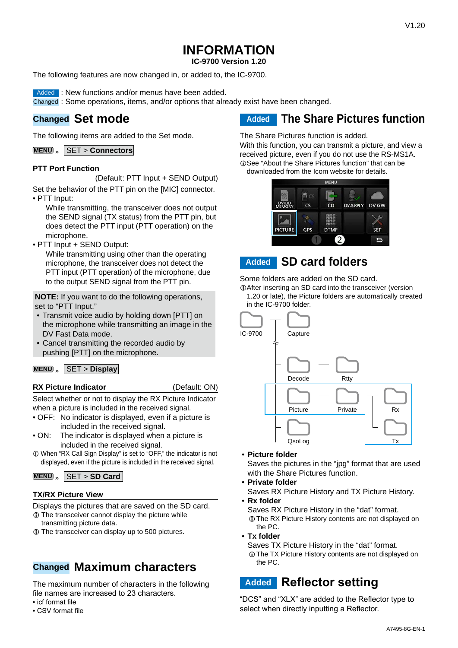**IC-9700 Version 1.20**

The following features are now changed in, or added to, the IC-9700.

Added : New functions and/or menus have been added.

Changed : Some operations, items, and/or options that already exist have been changed.

### **Changed Set mode**

The following items are added to the Set mode.

**MENU** » SET > **Connectors**

#### **PTT Port Function**

(Default: PTT Input + SEND Output)

Set the behavior of the PTT pin on the [MIC] connector. • PTT Input:

While transmitting, the transceiver does not output the SEND signal (TX status) from the PTT pin, but does detect the PTT input (PTT operation) on the microphone.

• PTT Input + SEND Output:

 While transmitting using other than the operating microphone, the transceiver does not detect the PTT input (PTT operation) of the microphone, due to the output SEND signal from the PTT pin.

**NOTE:** If you want to do the following operations, set to "PTT Input."

- Transmit voice audio by holding down [PTT] on the microphone while transmitting an image in the DV Fast Data mode.
- Cancel transmitting the recorded audio by pushing [PTT] on the microphone.

#### **MENU** » SET > Display

#### **RX Picture Indicator** (Default: ON)

Select whether or not to display the RX Picture Indicator when a picture is included in the received signal.

- OFF: No indicator is displayed, even if a picture is included in the received signal.
- ON: The indicator is displayed when a picture is included in the received signal.
- $\Omega$  When "RX Call Sign Display" is set to "OFF," the indicator is not displayed, even if the picture is included in the received signal.

**MENU** » SET > **SD Card**

#### **TX/RX Picture View**

Displays the pictures that are saved on the SD card.

- $\odot$  The transceiver cannot display the picture while transmitting picture data.
- L The transceiver can display up to 500 pictures.

### **Changed Maximum characters**

The maximum number of characters in the following file names are increased to 23 characters.

- icf format file
- CSV format file

**Added The Share Pictures function**

The Share Pictures function is added.

With this function, you can transmit a picture, and view a received picture, even if you do not use the RS-MS1A. *C*See "About the Share Pictures function" that can be downloaded from the Icom website for details.

■ 。 DV/DI  $\overline{\text{cs}}$  $CD$ **DV A-RPLY** DV GW  $\Phi$ **PICTURE** GPS **DTMI SET** ь

### **Added SD card folders**

Some folders are added on the SD card.

LAfter inserting an SD card into the transceiver (version 1.20 or late), the Picture folders are automatically created in the IC-9700 folder.



• **Picture folder**

Saves the pictures in the "jpg" format that are used with the Share Pictures function.

- **Private folder**
	- Saves RX Picture History and TX Picture History.
- **Rx folder**

Saves RX Picture History in the "dat" format.

LThe RX Picture History contents are not displayed on the PC.

- **Tx folder**
	- Saves TX Picture History in the "dat" format.
	- LThe TX Picture History contents are not displayed on the PC.

### **Added Reflector setting**

"DCS" and "XLX" are added to the Reflector type to select when directly inputting a Reflector.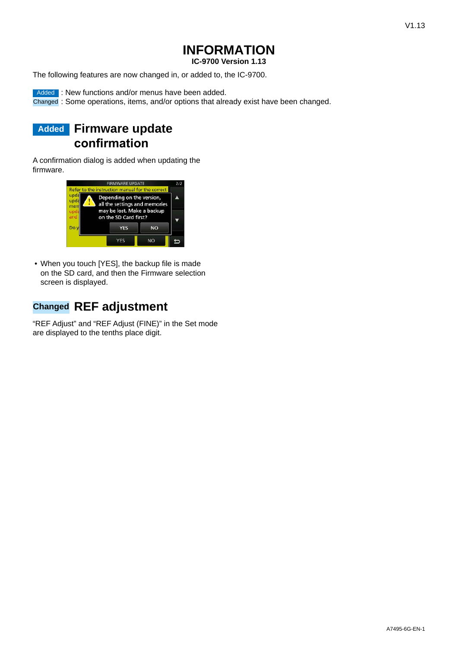**IC-9700 Version 1.13**

The following features are now changed in, or added to, the IC-9700.

Added : New functions and/or menus have been added.

Changed : Some operations, items, and/or options that already exist have been changed.

### **Added Firmware update confirmation**

A confirmation dialog is added when updating the firmware.



• When you touch [YES], the backup file is made on the SD card, and then the Firmware selection screen is displayed.

### **Changed REF adjustment**

"REF Adjust" and "REF Adjust (FINE)" in the Set mode are displayed to the tenths place digit.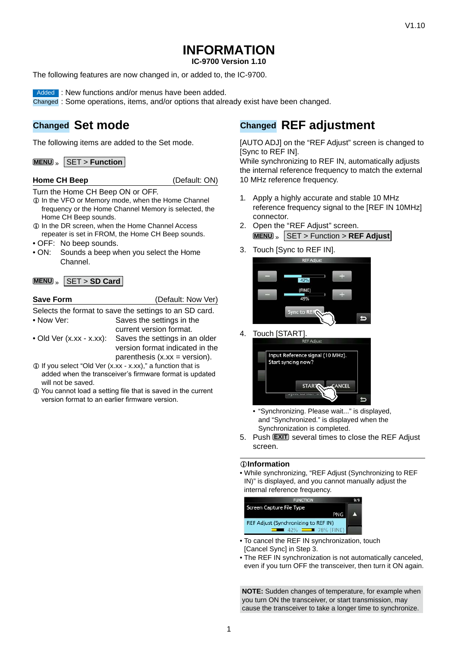**IC-9700 Version 1.10**

The following features are now changed in, or added to, the IC-9700.

Added : New functions and/or menus have been added.

Changed : Some operations, items, and/or options that already exist have been changed.

### **Changed Set mode**

The following items are added to the Set mode.

**MENU** » **SET** > **Function** 

#### **Home CH Beep** (Default: ON)

Turn the Home CH Beep ON or OFF.

- $Q$  In the VFO or Memory mode, when the Home Channel frequency or the Home Channel Memory is selected, the Home CH Beep sounds.
- $\odot$  In the DR screen, when the Home Channel Access repeater is set in FROM, the Home CH Beep sounds.
- OFF: No beep sounds.
- ON: Sounds a beep when you select the Home Channel.

#### **MENU** » SET > **SD Card**

| <b>Save Form</b>                 | (Default: Now Ver)                                     |
|----------------------------------|--------------------------------------------------------|
|                                  | Selects the format to save the settings to an SD card. |
| • Now Ver:                       | Saves the settings in the                              |
|                                  | current version format.                                |
| $\bullet$ Old Ver (x.xx - x.xx): | Saves the settings in an older                         |
|                                  | version format indicated in the                        |
|                                  | parenthesis $(x.xx = version)$ .                       |

- L If you select "Old Ver (x.xx x.xx)," a function that is added when the transceiver's firmware format is updated will not be saved.
- L You cannot load a setting file that is saved in the current version format to an earlier firmware version.

### **Changed REF adjustment**

[AUTO ADJ] on the "REF Adjust" screen is changed to [Sync to REF IN].

While synchronizing to REF IN, automatically adjusts the internal reference frequency to match the external 10 MHz reference frequency.

- 1. Apply a highly accurate and stable 10 MHz reference frequency signal to the [REF IN 10MHz] connector.
- 2. Open the "REF Adjust" screen. **MENU** » SET > Function > **REF Adjust**
- 3. Touch [Sync to REF IN].



4. Touch [START].



- "Synchronizing. Please wait..." is displayed, and "Synchronized." is displayed when the Synchronization is completed.
- 5. Push **EXIT** several times to close the REF Adjust screen.

#### L**LInformatio**

• While synchronizing, "REF Adjust (Synchronizing to REF IN)" is displayed, and you cannot manually adjust the internal reference frequency.



- To cancel the REF IN synchronization, touch [Cancel Sync] in Step 3.
- The REF IN synchronization is not automatically canceled, even if you turn OFF the transceiver, then turn it ON again.

**NOTE:** Sudden changes of temperature, for example when you turn ON the transceiver, or start transmission, may cause the transceiver to take a longer time to synchronize.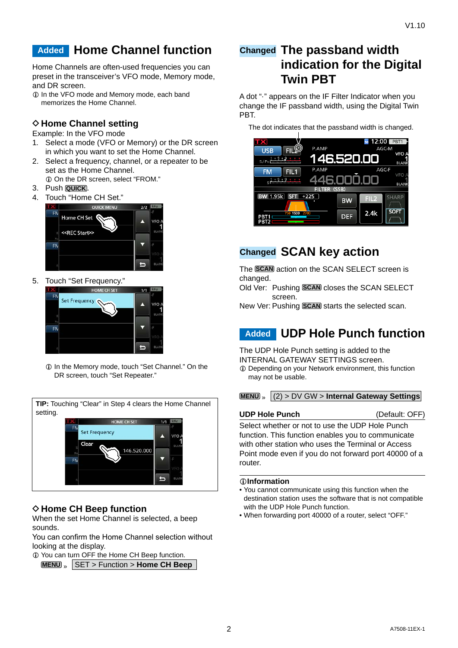### **Added Home Channel function**

Home Channels are often-used frequencies you can preset in the transceiver's VFO mode, Memory mode, and DR screen.

L In the VFO mode and Memory mode, each band memorizes the Home Channel.

### **◇ Home Channel setting**

Example: In the VFO mode

- 1. Select a mode (VFO or Memory) or the DR screen in which you want to set the Home Channel.
- 2. Select a frequency, channel, or a repeater to be set as the Home Channel. L On the DR screen, select "FROM."
- 3. Push **QUICK** .
- 4. Touch "Home CH Set."



5. Touch "Set Frequency."



 $\circledR$  In the Memory mode, touch "Set Channel." On the DR screen, touch "Set Repeater."

|    | <b>HOME CH SET</b>   | 1/1 |              |
|----|----------------------|-----|--------------|
| FN | <b>Set Frequency</b> |     | VFO.         |
|    | Clear<br>146.520.000 |     | BLAN         |
| FN |                      |     |              |
|    |                      |     |              |
|    |                      |     | <b>BLANK</b> |

### **◇ Home CH Beep function**

When the set Home Channel is selected, a beep sounds.

You can confirm the Home Channel selection without looking at the display.

 $Q$  You can turn OFF the Home CH Beep function. **MENU** » SET > Function > **Home CH Beep**

### **Changed The passband width indication for the Digital Twin PBT**

A dot "·" appears on the IF Filter Indicator when you change the IF passband width, using the Digital Twin PBT.

The dot indicates that the passband width is changed.

|                                     |               |            | 12:00            | PBT <sub>1</sub> |
|-------------------------------------|---------------|------------|------------------|------------------|
| <b>TX</b><br><b>FIL<sup>O</sup></b> | P.AMP         |            | <b>SD</b>        | AGC-M            |
| <b>USB</b>                          |               |            |                  | <b>VFO A</b>     |
|                                     | 146.520.00    |            |                  | <b>BLANK</b>     |
| <b>FM</b><br>FIL <sub>1</sub>       | P.AMP         |            |                  | AGC-F            |
| .5.9                                |               | :46.000.0  |                  | <b>VFO</b>       |
|                                     |               |            |                  | <b>BLANK</b>     |
|                                     | <b>FILTER</b> | (SSB)      |                  |                  |
| 1.95k<br><b>SFT</b>                 | $+225$        | <b>BW</b>  | FIL <sub>2</sub> | <b>SHARP</b>     |
|                                     |               |            |                  |                  |
| 1500<br>750<br>PBT1                 | 2700          | <b>DEF</b> | 2.4k             | <b>SOFT</b>      |
| PBT <sub>2</sub>                    |               |            |                  |                  |

### **Changed SCAN key action**

The **SCAN** action on the SCAN SELECT screen is changed.

Old Ver: Pushing **SCAN** closes the SCAN SELECT screen.

New Ver: Pushing **SCAN** starts the selected scan.

### **Added UDP Hole Punch function**

The UDP Hole Punch setting is added to the INTERNAL GATEWAY SETTINGS screen.

L Depending on your Network environment, this function may not be usable.

**MENU** » (2) > DV GW > **Internal Gateway Settings**

#### **UDP Hole Punch** (Default: OFF)

Select whether or not to use the UDP Hole Punch function. This function enables you to communicate with other station who uses the Terminal or Access Point mode even if you do not forward port 40000 of a router.

#### L**LInformatio**

- You cannot communicate using this function when the destination station uses the software that is not compatible with the UDP Hole Punch function.
- When forwarding port 40000 of a router, select "OFF."